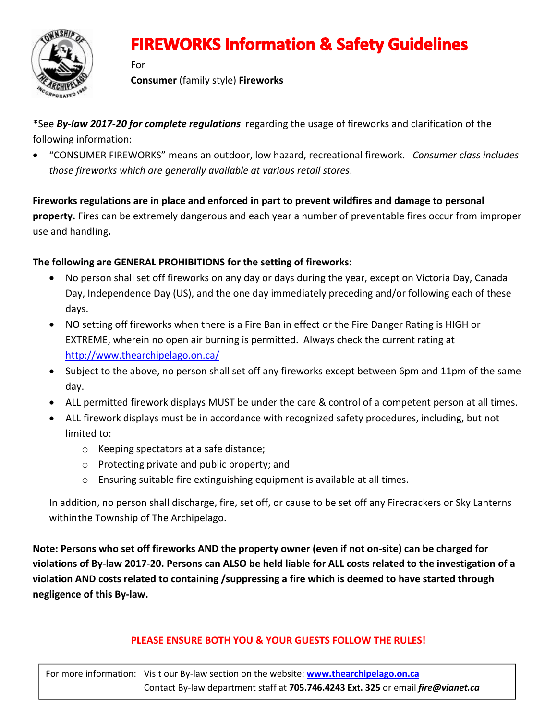

## **FIREWORKS Information & Safety Guidelines**

For

Consumer (family style) Fireworks

\*See *By-law 2017-20 for complete regulations* regarding the usage of fireworks and clarification of the following information:

 "CONSUMER FIREWORKS" means an outdoor, low hazard, recreational firework. *Consumer class includes those fireworks which are generally available at various retail stores*.

Fireworks regulations are in place and enforced in part to prevent wildfires and damage to personal property. Fires can be extremely dangerous and each year a number of preventable fires occur from improper use and handling.

### The following are GENERAL PROHIBITIONS for the setting of fireworks:

- No person shall set off fireworks on any day or days during the year, except on Victoria Day, Canada Day, Independence Day (US), and the one day immediately preceding and/or following each of these days.
- NO setting off fireworks when there is a Fire Ban in effect or the Fire Danger Rating is HIGH or EXTREME, wherein no open air burning is permitted. Always check the current rating at <http://www.thearchipelago.on.ca/>
- Subject to the above, no person shall set off any fireworks except between 6pm and 11pm of the same day.
- ALL permitted firework displays MUST be under the care & control of a competent person at all times.
- ALL firework displays must be in accordance with recognized safety procedures, including, but not limited to:
	- o Keeping spectators at a safe distance;
	- o Protecting private and public property; and
	- o Ensuring suitable fire extinguishing equipment is available at all times.

In addition, no person shall discharge, fire, set off, or cause to be set off any Firecrackers or Sky Lanterns withinthe Township of The Archipelago.

Note: Persons who set off fireworks AND the property owner (even if not on-site) can be charged for violations of By-law 2017-20. Persons can ALSO be held liable for ALL costs related to the investigation of a violation AND costs related to containing /suppressing a fire which is deemed to have started through negligence of this By-law.

#### PLEASE ENSURE BOTH YOU & YOUR GUESTS FOLLOW THE RULES!

For more information: Visit our By-law section on the website: www.thearchipelago.on.ca Contact By-law department staff at 705.746.4243 Ext. 325 or email *fire@vianet.ca*